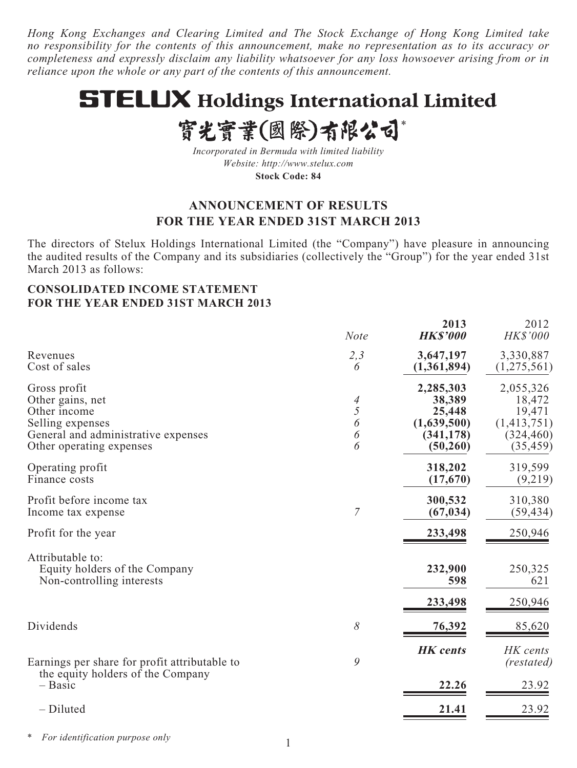*Hong Kong Exchanges and Clearing Limited and The Stock Exchange of Hong Kong Limited take no responsibility for the contents of this announcement, make no representation as to its accuracy or completeness and expressly disclaim any liability whatsoever for any loss howsoever arising from or in reliance upon the whole or any part of the contents of this announcement.*

# **STELUX Holdings International Limited**

# 實光實業(國際)有限公司\*

*Incorporated in Bermuda with limited liability Website: http://www.stelux.com* **Stock Code: 84**

# **ANNOUNCEMENT OF RESULTS FOR THE YEAR ENDED 31ST MARCH 2013**

The directors of Stelux Holdings International Limited (the "Company") have pleasure in announcing the audited results of the Company and its subsidiaries (collectively the "Group") for the year ended 31st March 2013 as follows:

## **CONSOLIDATED INCOME STATEMENT FOR THE YEAR ENDED 31ST MARCH 2013**

|                                                                                                                                         | <b>Note</b>           | 2013<br><b>HK\$'000</b>                                                 | 2012<br>HK\$'000                                                        |
|-----------------------------------------------------------------------------------------------------------------------------------------|-----------------------|-------------------------------------------------------------------------|-------------------------------------------------------------------------|
| Revenues<br>Cost of sales                                                                                                               | 2,3<br>6              | 3,647,197<br>(1,361,894)                                                | 3,330,887<br>(1,275,561)                                                |
| Gross profit<br>Other gains, net<br>Other income<br>Selling expenses<br>General and administrative expenses<br>Other operating expenses | 4<br>5<br>6<br>6<br>6 | 2,285,303<br>38,389<br>25,448<br>(1,639,500)<br>(341, 178)<br>(50, 260) | 2,055,326<br>18,472<br>19,471<br>(1,413,751)<br>(324, 460)<br>(35, 459) |
| Operating profit<br>Finance costs                                                                                                       |                       | 318,202<br>(17,670)                                                     | 319,599<br>(9,219)                                                      |
| Profit before income tax<br>Income tax expense                                                                                          | 7                     | 300,532<br>(67, 034)                                                    | 310,380<br>(59, 434)                                                    |
| Profit for the year                                                                                                                     |                       | 233,498                                                                 | 250,946                                                                 |
| Attributable to:<br>Equity holders of the Company<br>Non-controlling interests                                                          |                       | 232,900<br>598                                                          | 250,325<br>621                                                          |
|                                                                                                                                         |                       | 233,498                                                                 | 250,946                                                                 |
| Dividends                                                                                                                               | 8                     | 76,392                                                                  | 85,620                                                                  |
| Earnings per share for profit attributable to<br>the equity holders of the Company                                                      | 9                     | <b>HK</b> cents                                                         | HK cents<br>(restated)                                                  |
| - Basic                                                                                                                                 |                       | 22.26                                                                   | 23.92                                                                   |
| - Diluted                                                                                                                               |                       | 21.41                                                                   | 23.92                                                                   |

*\* For identification purpose only*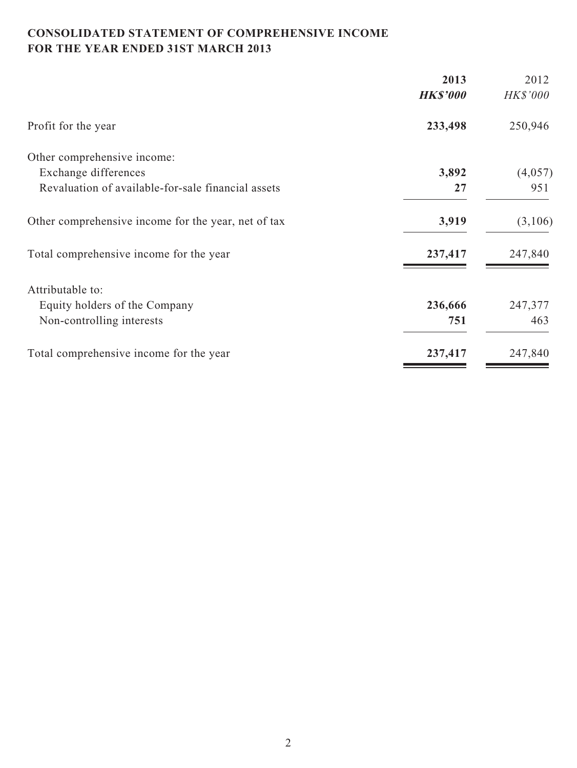# **CONSOLIDATED STATEMENT OF COMPREHENSIVE INCOME FOR THE YEAR ENDED 31ST MARCH 2013**

|                                                     | 2013            | 2012     |
|-----------------------------------------------------|-----------------|----------|
|                                                     | <b>HK\$'000</b> | HK\$'000 |
| Profit for the year                                 | 233,498         | 250,946  |
| Other comprehensive income:                         |                 |          |
| Exchange differences                                | 3,892           | (4,057)  |
| Revaluation of available-for-sale financial assets  | 27              | 951      |
| Other comprehensive income for the year, net of tax | 3,919           | (3,106)  |
| Total comprehensive income for the year             | 237,417         | 247,840  |
| Attributable to:                                    |                 |          |
| Equity holders of the Company                       | 236,666         | 247,377  |
| Non-controlling interests                           | 751             | 463      |
| Total comprehensive income for the year             | 237,417         | 247,840  |
|                                                     |                 |          |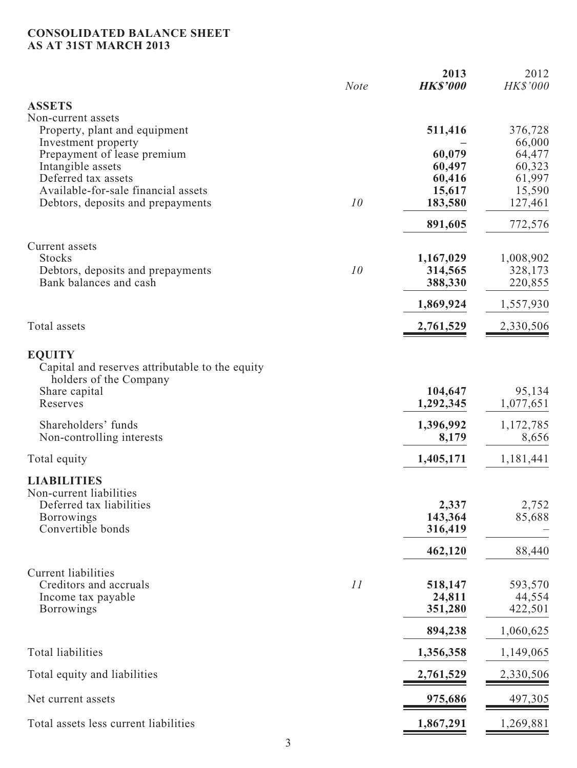#### **CONSOLIDATED BALANCE SHEET AS AT 31ST MARCH 2013**

|                                                                                            | <b>Note</b> | 2013<br><b>HK\$'000</b> | 2012<br>HK\$'000    |
|--------------------------------------------------------------------------------------------|-------------|-------------------------|---------------------|
| <b>ASSETS</b>                                                                              |             |                         |                     |
| Non-current assets<br>Property, plant and equipment<br>Investment property                 |             | 511,416                 | 376,728<br>66,000   |
| Prepayment of lease premium                                                                |             | 60,079                  | 64,477              |
| Intangible assets                                                                          |             | 60,497                  | 60,323              |
| Deferred tax assets                                                                        |             | 60,416                  | 61,997              |
| Available-for-sale financial assets<br>Debtors, deposits and prepayments                   | 10          | 15,617<br>183,580       | 15,590<br>127,461   |
|                                                                                            |             | 891,605                 | 772,576             |
| Current assets                                                                             |             |                         |                     |
| <b>Stocks</b>                                                                              |             | 1,167,029               | 1,008,902           |
| Debtors, deposits and prepayments                                                          | 10          | 314,565                 | 328,173             |
| Bank balances and cash                                                                     |             | 388,330                 | 220,855             |
|                                                                                            |             | 1,869,924               | 1,557,930           |
| Total assets                                                                               |             | 2,761,529               | 2,330,506           |
| <b>EQUITY</b><br>Capital and reserves attributable to the equity<br>holders of the Company |             |                         |                     |
| Share capital<br>Reserves                                                                  |             | 104,647<br>1,292,345    | 95,134<br>1,077,651 |
| Shareholders' funds<br>Non-controlling interests                                           |             | 1,396,992<br>8,179      | 1,172,785<br>8,656  |
| Total equity                                                                               |             | 1,405,171               | 1,181,441           |
| <b>LIABILITIES</b><br>Non-current liabilities                                              |             |                         |                     |
| Deferred tax liabilities<br><b>Borrowings</b>                                              |             | 2,337<br>143,364        | 2,752<br>85,688     |
| Convertible bonds                                                                          |             | 316,419                 |                     |
|                                                                                            |             | 462,120                 | 88,440              |
| Current liabilities                                                                        |             |                         |                     |
| Creditors and accruals                                                                     | 11          | 518,147                 | 593,570             |
| Income tax payable                                                                         |             | 24,811                  | 44,554              |
| <b>Borrowings</b>                                                                          |             | 351,280                 | 422,501             |
|                                                                                            |             | 894,238                 | 1,060,625           |
| <b>Total liabilities</b>                                                                   |             | 1,356,358               | 1,149,065           |
| Total equity and liabilities                                                               |             | 2,761,529               | 2,330,506           |
| Net current assets                                                                         |             | 975,686                 | 497,305             |
| Total assets less current liabilities                                                      |             | 1,867,291               | 1,269,881           |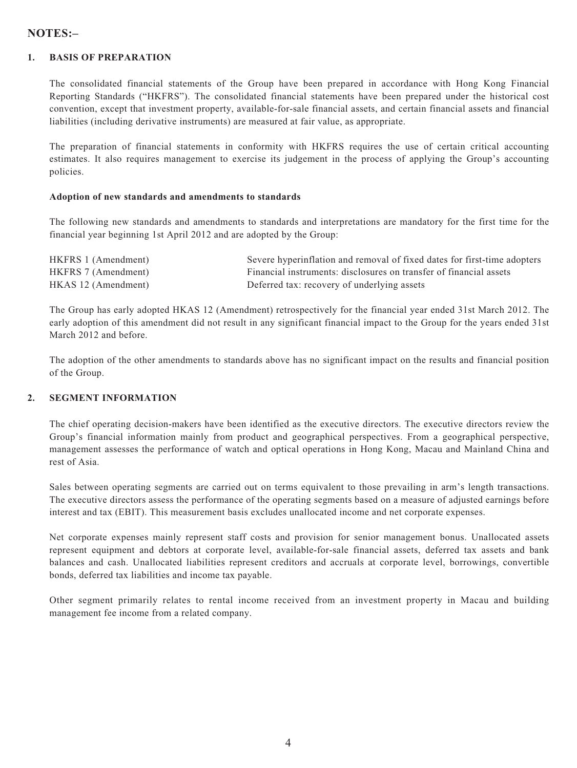## **NOTES:–**

#### **1. BASIS OF PREPARATION**

The consolidated financial statements of the Group have been prepared in accordance with Hong Kong Financial Reporting Standards ("HKFRS"). The consolidated financial statements have been prepared under the historical cost convention, except that investment property, available-for-sale financial assets, and certain financial assets and financial liabilities (including derivative instruments) are measured at fair value, as appropriate.

The preparation of financial statements in conformity with HKFRS requires the use of certain critical accounting estimates. It also requires management to exercise its judgement in the process of applying the Group's accounting policies.

#### **Adoption of new standards and amendments to standards**

The following new standards and amendments to standards and interpretations are mandatory for the first time for the financial year beginning 1st April 2012 and are adopted by the Group:

| HKFRS 1 (Amendment) | Severe hyperinflation and removal of fixed dates for first-time adopters |
|---------------------|--------------------------------------------------------------------------|
| HKFRS 7 (Amendment) | Financial instruments: disclosures on transfer of financial assets       |
| HKAS 12 (Amendment) | Deferred tax: recovery of underlying assets                              |

The Group has early adopted HKAS 12 (Amendment) retrospectively for the financial year ended 31st March 2012. The early adoption of this amendment did not result in any significant financial impact to the Group for the years ended 31st March 2012 and before.

The adoption of the other amendments to standards above has no significant impact on the results and financial position of the Group.

#### **2. SEGMENT INFORMATION**

The chief operating decision-makers have been identified as the executive directors. The executive directors review the Group's financial information mainly from product and geographical perspectives. From a geographical perspective, management assesses the performance of watch and optical operations in Hong Kong, Macau and Mainland China and rest of Asia.

Sales between operating segments are carried out on terms equivalent to those prevailing in arm's length transactions. The executive directors assess the performance of the operating segments based on a measure of adjusted earnings before interest and tax (EBIT). This measurement basis excludes unallocated income and net corporate expenses.

Net corporate expenses mainly represent staff costs and provision for senior management bonus. Unallocated assets represent equipment and debtors at corporate level, available-for-sale financial assets, deferred tax assets and bank balances and cash. Unallocated liabilities represent creditors and accruals at corporate level, borrowings, convertible bonds, deferred tax liabilities and income tax payable.

Other segment primarily relates to rental income received from an investment property in Macau and building management fee income from a related company.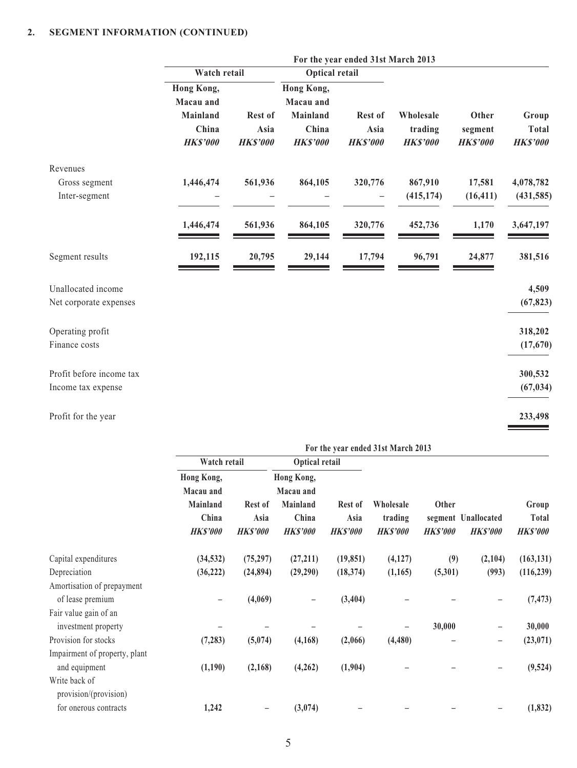|                          |                          |                         |                          | For the year ended 31st March 2013 |                            |                            |                                 |
|--------------------------|--------------------------|-------------------------|--------------------------|------------------------------------|----------------------------|----------------------------|---------------------------------|
|                          | Watch retail             |                         | <b>Optical retail</b>    |                                    |                            |                            |                                 |
|                          | Hong Kong,               |                         | Hong Kong,               |                                    |                            |                            |                                 |
|                          | Macau and                |                         | Macau and                |                                    |                            |                            |                                 |
|                          | Mainland                 | Rest of                 | Mainland                 | Rest of                            | Wholesale                  | Other                      | Group                           |
|                          | China<br><b>HK\$'000</b> | Asia<br><b>HK\$'000</b> | China<br><b>HK\$'000</b> | Asia<br><b>HK\$'000</b>            | trading<br><b>HK\$'000</b> | segment<br><b>HK\$'000</b> | <b>Total</b><br><b>HK\$'000</b> |
| Revenues                 |                          |                         |                          |                                    |                            |                            |                                 |
| Gross segment            | 1,446,474                | 561,936                 | 864,105                  | 320,776                            | 867,910                    | 17,581                     | 4,078,782                       |
| Inter-segment            |                          |                         |                          |                                    | (415, 174)                 | (16, 411)                  | (431, 585)                      |
|                          | 1,446,474                | 561,936                 | 864,105                  | 320,776                            | 452,736                    | 1,170                      | 3,647,197                       |
| Segment results          | 192,115                  | 20,795                  | 29,144                   | 17,794                             | 96,791                     | 24,877                     | 381,516                         |
| Unallocated income       |                          |                         |                          |                                    |                            |                            | 4,509                           |
| Net corporate expenses   |                          |                         |                          |                                    |                            |                            | (67, 823)                       |
| Operating profit         |                          |                         |                          |                                    |                            |                            | 318,202                         |
| Finance costs            |                          |                         |                          |                                    |                            |                            | (17,670)                        |
| Profit before income tax |                          |                         |                          |                                    |                            |                            | 300,532                         |
| Income tax expense       |                          |                         |                          |                                    |                            |                            | (67, 034)                       |
| Profit for the year      |                          |                         |                          |                                    |                            |                            | 233,498                         |

|                                              | For the year ended 31st March 2013                              |                                    |                                                                 |                                    |                                                                    |                                       |         |                                   |
|----------------------------------------------|-----------------------------------------------------------------|------------------------------------|-----------------------------------------------------------------|------------------------------------|--------------------------------------------------------------------|---------------------------------------|---------|-----------------------------------|
|                                              | Watch retail                                                    |                                    | Optical retail                                                  |                                    |                                                                    |                                       |         | Group<br>Total<br><b>HK\$'000</b> |
|                                              | Hong Kong,<br>Macau and<br>Mainland<br>China<br><b>HK\$'000</b> | Rest of<br>Asia<br><b>HK\$'000</b> | Hong Kong,<br>Macau and<br>Mainland<br>China<br><b>HK\$'000</b> | Rest of<br>Asia<br><b>HK\$'000</b> | Other<br>Wholesale<br>trading<br><b>HK\$'000</b><br><b>HKS'000</b> | segment Unallocated<br><b>HKS'000</b> |         |                                   |
| Capital expenditures                         | (34, 532)                                                       | (75, 297)                          | (27, 211)                                                       | (19, 851)                          | (4,127)                                                            | (9)                                   | (2,104) | (163, 131)                        |
| Depreciation                                 | (36, 222)                                                       | (24,894)                           | (29,290)                                                        | (18, 374)                          | (1,165)                                                            | (5,301)                               | (993)   | (116, 239)                        |
| Amortisation of prepayment                   |                                                                 |                                    |                                                                 |                                    |                                                                    |                                       |         |                                   |
| of lease premium                             |                                                                 | (4,069)                            | $\qquad \qquad -$                                               | (3,404)                            |                                                                    |                                       |         | (7, 473)                          |
| Fair value gain of an<br>investment property |                                                                 |                                    |                                                                 |                                    |                                                                    | 30,000                                | -       | 30,000                            |
| Provision for stocks                         | (7, 283)                                                        | (5,074)                            | (4, 168)                                                        | (2,066)                            | (4, 480)                                                           |                                       |         | (23, 071)                         |
| Impairment of property, plant                |                                                                 |                                    |                                                                 |                                    |                                                                    |                                       |         |                                   |
| and equipment                                | (1,190)                                                         | (2,168)                            | (4,262)                                                         | (1,904)                            |                                                                    |                                       |         | (9, 524)                          |
| Write back of<br>provision/(provision)       |                                                                 |                                    |                                                                 |                                    |                                                                    |                                       |         |                                   |
| for onerous contracts                        | 1,242                                                           |                                    | (3,074)                                                         |                                    |                                                                    |                                       |         | (1, 832)                          |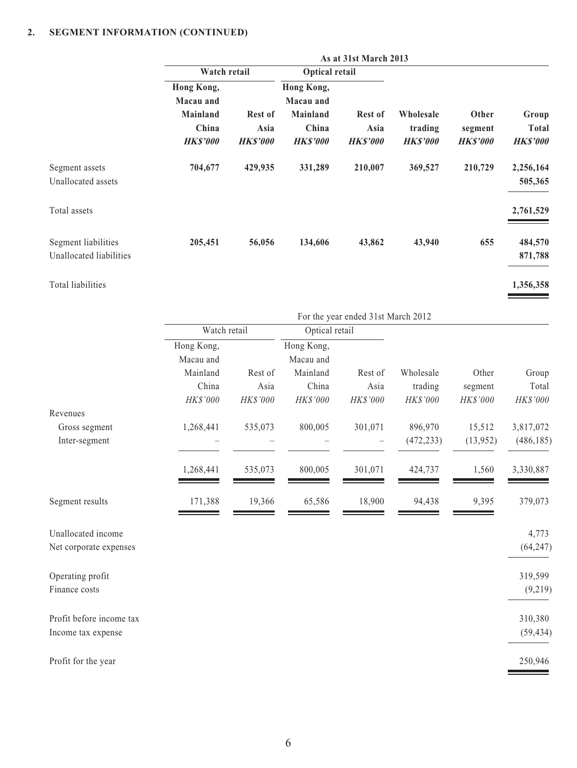|                                                | As at 31st March 2013                                           |                                           |                                                                        |                                           |                                         |                                    |                                          |  |
|------------------------------------------------|-----------------------------------------------------------------|-------------------------------------------|------------------------------------------------------------------------|-------------------------------------------|-----------------------------------------|------------------------------------|------------------------------------------|--|
|                                                | Watch retail                                                    |                                           |                                                                        | <b>Optical retail</b>                     |                                         |                                    |                                          |  |
|                                                | Hong Kong,<br>Macau and<br>Mainland<br>China<br><b>HK\$'000</b> | <b>Rest of</b><br>Asia<br><b>HK\$'000</b> | Hong Kong,<br>Macau and<br><b>Mainland</b><br>China<br><b>HK\$'000</b> | <b>Rest of</b><br>Asia<br><b>HK\$'000</b> | Wholesale<br>trading<br><b>HK\$'000</b> | Other<br>segment<br><b>HKS'000</b> | Group<br><b>Total</b><br><b>HK\$'000</b> |  |
| Segment assets<br>Unallocated assets           | 704,677                                                         | 429,935                                   | 331,289                                                                | 210,007                                   | 369,527                                 | 210,729                            | 2,256,164<br>505,365                     |  |
| Total assets                                   |                                                                 |                                           |                                                                        |                                           |                                         |                                    | 2,761,529                                |  |
| Segment liabilities<br>Unallocated liabilities | 205,451                                                         | 56,056                                    | 134,606                                                                | 43,862                                    | 43,940                                  | 655                                | 484,570<br>871,788                       |  |
| Total liabilities                              |                                                                 |                                           |                                                                        |                                           |                                         |                                    | 1,356,358                                |  |

| For the year ended 31st March 2012 |          |                         |          |                |          |            |
|------------------------------------|----------|-------------------------|----------|----------------|----------|------------|
|                                    |          |                         |          |                |          |            |
| Hong Kong,<br>Macau and            |          | Hong Kong,<br>Macau and |          |                |          |            |
| Mainland                           | Rest of  | Mainland                | Rest of  | Wholesale      | Other    | Group      |
| China                              | Asia     | China                   | Asia     | trading        | segment  | Total      |
| HK\$'000                           | HK\$'000 | HK\$'000                | HK\$'000 | HK\$'000       | HK\$'000 | HK\$'000   |
|                                    |          |                         |          |                |          |            |
| 1,268,441                          | 535,073  | 800,005                 | 301,071  | 896,970        | 15,512   | 3,817,072  |
|                                    |          |                         |          | (472, 233)     | (13,952) | (486, 185) |
| 1,268,441                          | 535,073  | 800,005                 | 301,071  | 424,737        | 1,560    | 3,330,887  |
| 171,388                            | 19,366   | 65,586                  | 18,900   | 94,438         | 9,395    | 379,073    |
|                                    |          |                         |          |                |          | 4,773      |
|                                    |          |                         |          |                |          | (64, 247)  |
|                                    |          |                         |          |                |          | 319,599    |
|                                    |          |                         |          |                |          | (9,219)    |
|                                    |          |                         |          |                |          | 310,380    |
|                                    |          |                         |          |                |          | (59, 434)  |
|                                    |          |                         |          |                |          | 250,946    |
|                                    |          | Watch retail            |          | Optical retail |          |            |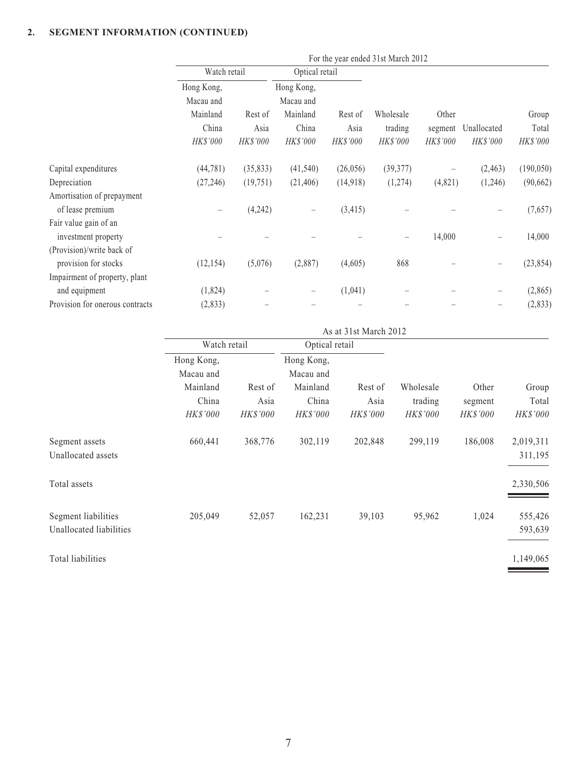| Hong Kong, |                 |              |            |                 |                 |                                    |            |
|------------|-----------------|--------------|------------|-----------------|-----------------|------------------------------------|------------|
| Macau and  |                 | Macau and    |            |                 |                 |                                    |            |
| Mainland   | Rest of         | Mainland     | Rest of    | Wholesale       | Other           | Unallocated                        | Group      |
| China      | Asia            | China        | Asia       | trading         | segment         |                                    | Total      |
| HK\$'000   | <b>HK\$'000</b> | HK\$'000     | HK\$'000   | <b>HK\$'000</b> | <b>HK\$'000</b> | HK\$'000                           | HK\$'000   |
| (44, 781)  | (35, 833)       | (41, 540)    | (26,056)   | (39, 377)       | -               | (2, 463)                           | (190, 050) |
| (27, 246)  | (19,751)        | (21, 406)    | (14,918)   | (1,274)         |                 | (1,246)                            | (90, 662)  |
|            |                 |              |            |                 |                 |                                    |            |
|            | (4,242)         |              | (3, 415)   |                 |                 |                                    | (7,657)    |
|            |                 |              |            |                 |                 |                                    |            |
|            |                 |              |            |                 | 14,000          |                                    | 14,000     |
|            |                 |              |            |                 |                 |                                    |            |
| (12, 154)  | (5,076)         | (2,887)      | (4,605)    | 868             |                 |                                    | (23, 854)  |
|            |                 |              |            |                 |                 |                                    |            |
| (1,824)    |                 |              | (1,041)    |                 |                 | $\overline{\phantom{m}}$           | (2, 865)   |
| (2,833)    |                 |              |            |                 |                 |                                    | (2, 833)   |
|            |                 | Watch retail | Hong Kong, | Optical retail  |                 | For the year ended 31st March 2012 | (4,821)    |

|                                                |                         | As at 31st March 2012 |                         |                 |                      |                  |                      |  |  |  |
|------------------------------------------------|-------------------------|-----------------------|-------------------------|-----------------|----------------------|------------------|----------------------|--|--|--|
|                                                | Watch retail            |                       | Optical retail          |                 |                      |                  |                      |  |  |  |
|                                                | Hong Kong,<br>Macau and |                       | Hong Kong,<br>Macau and |                 |                      |                  |                      |  |  |  |
|                                                | Mainland<br>China       | Rest of<br>Asia       | Mainland<br>China       | Rest of<br>Asia | Wholesale<br>trading | Other<br>segment | Group<br>Total       |  |  |  |
|                                                | HK\$'000                | HK\$'000              | HK\$'000                | HK\$'000        | <b>HK\$'000</b>      | <i>HK\$'000</i>  | HK\$'000             |  |  |  |
| Segment assets<br>Unallocated assets           | 660,441                 | 368,776               | 302,119                 | 202,848         | 299,119              | 186,008          | 2,019,311<br>311,195 |  |  |  |
| Total assets                                   |                         |                       |                         |                 |                      |                  | 2,330,506            |  |  |  |
| Segment liabilities<br>Unallocated liabilities | 205,049                 | 52,057                | 162,231                 | 39,103          | 95,962               | 1,024            | 555,426<br>593,639   |  |  |  |
| Total liabilities                              |                         |                       |                         |                 |                      |                  | 1,149,065            |  |  |  |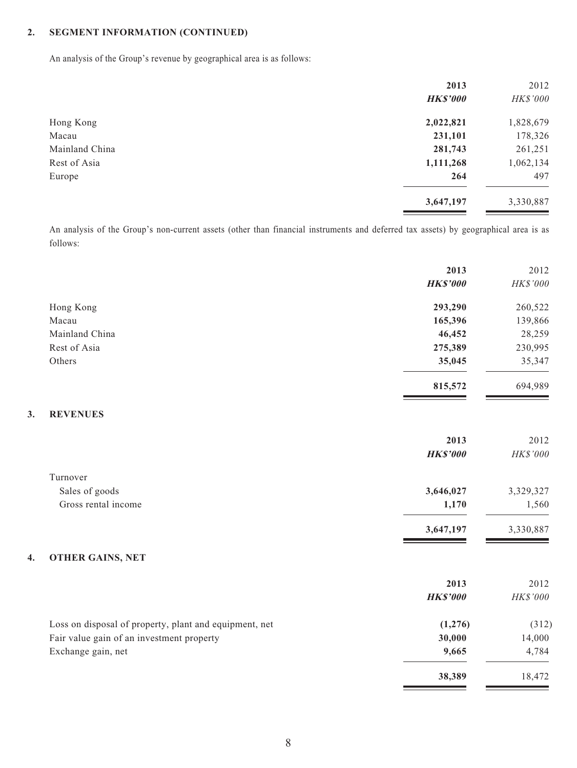**3. REVENUES**

An analysis of the Group's revenue by geographical area is as follows:

|                | 2013            | 2012      |
|----------------|-----------------|-----------|
|                | <b>HK\$'000</b> | HK\$'000  |
| Hong Kong      | 2,022,821       | 1,828,679 |
| Macau          | 231,101         | 178,326   |
| Mainland China | 281,743         | 261,251   |
| Rest of Asia   | 1,111,268       | 1,062,134 |
| Europe         | 264             | 497       |
|                | 3,647,197       | 3,330,887 |
|                |                 |           |

An analysis of the Group's non-current assets (other than financial instruments and deferred tax assets) by geographical area is as follows:

|                                                        | 2013            | 2012      |
|--------------------------------------------------------|-----------------|-----------|
|                                                        | <b>HK\$'000</b> | HK\$'000  |
| Hong Kong                                              | 293,290         | 260,522   |
| Macau                                                  | 165,396         | 139,866   |
| Mainland China                                         | 46,452          | 28,259    |
| Rest of Asia                                           | 275,389         | 230,995   |
| Others                                                 | 35,045          | 35,347    |
|                                                        | 815,572         | 694,989   |
| 3.<br><b>REVENUES</b>                                  |                 |           |
|                                                        | 2013            | 2012      |
|                                                        | <b>HK\$'000</b> | HK\$'000  |
| Turnover                                               |                 |           |
| Sales of goods                                         | 3,646,027       | 3,329,327 |
| Gross rental income                                    | 1,170           | 1,560     |
|                                                        | 3,647,197       | 3,330,887 |
| <b>OTHER GAINS, NET</b><br>4.                          |                 |           |
|                                                        | 2013            | 2012      |
|                                                        | <b>HK\$'000</b> | HK\$'000  |
| Loss on disposal of property, plant and equipment, net | (1,276)         | (312)     |
| Fair value gain of an investment property              | 30,000          | 14,000    |
| Exchange gain, net                                     | 9,665           | 4,784     |
|                                                        | 38,389          | 18,472    |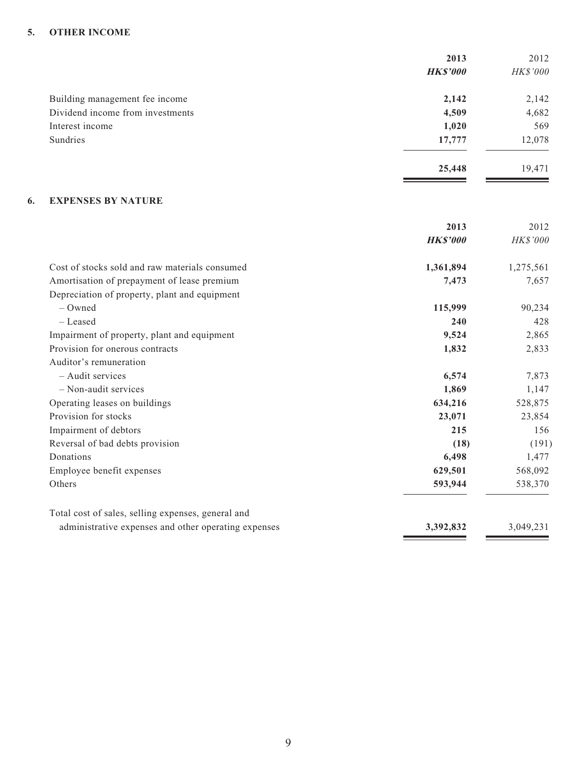#### **5. OTHER INCOME**

|                                  | 2013            | 2012     |
|----------------------------------|-----------------|----------|
|                                  | <b>HK\$'000</b> | HK\$'000 |
| Building management fee income   | 2,142           | 2,142    |
| Dividend income from investments | 4,509           | 4,682    |
| Interest income                  | 1,020           | 569      |
| Sundries                         | 17,777          | 12,078   |
|                                  | 25,448          | 19,471   |

 $\sim$  100  $\mu$ 

#### **6. EXPENSES BY NATURE**

|                                                      | 2013            | 2012      |
|------------------------------------------------------|-----------------|-----------|
|                                                      | <b>HK\$'000</b> | HK\$'000  |
| Cost of stocks sold and raw materials consumed       | 1,361,894       | 1,275,561 |
| Amortisation of prepayment of lease premium          | 7,473           | 7,657     |
| Depreciation of property, plant and equipment        |                 |           |
| – Owned                                              | 115,999         | 90,234    |
| - Leased                                             | 240             | 428       |
| Impairment of property, plant and equipment          | 9,524           | 2,865     |
| Provision for onerous contracts                      | 1,832           | 2,833     |
| Auditor's remuneration                               |                 |           |
| - Audit services                                     | 6,574           | 7,873     |
| - Non-audit services                                 | 1,869           | 1,147     |
| Operating leases on buildings                        | 634,216         | 528,875   |
| Provision for stocks                                 | 23,071          | 23,854    |
| Impairment of debtors                                | 215             | 156       |
| Reversal of bad debts provision                      | (18)            | (191)     |
| Donations                                            | 6,498           | 1,477     |
| Employee benefit expenses                            | 629,501         | 568,092   |
| Others                                               | 593,944         | 538,370   |
| Total cost of sales, selling expenses, general and   |                 |           |
| administrative expenses and other operating expenses | 3,392,832       | 3,049,231 |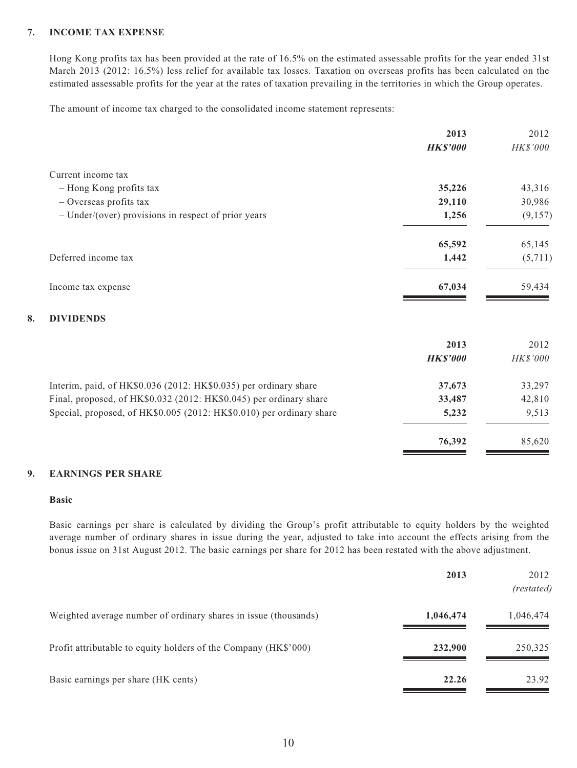#### **7. INCOME TAX EXPENSE**

Hong Kong profits tax has been provided at the rate of 16.5% on the estimated assessable profits for the year ended 31st March 2013 (2012: 16.5%) less relief for available tax losses. Taxation on overseas profits has been calculated on the estimated assessable profits for the year at the rates of taxation prevailing in the territories in which the Group operates.

The amount of income tax charged to the consolidated income statement represents:

|                                                                      | 2013            | 2012     |
|----------------------------------------------------------------------|-----------------|----------|
|                                                                      | <b>HK\$'000</b> | HK\$'000 |
| Current income tax                                                   |                 |          |
| - Hong Kong profits tax                                              | 35,226          | 43,316   |
| - Overseas profits tax                                               | 29,110          | 30,986   |
| $-$ Under/(over) provisions in respect of prior years                | 1,256           | (9,157)  |
|                                                                      | 65,592          | 65,145   |
| Deferred income tax                                                  | 1,442           | (5,711)  |
| Income tax expense                                                   | 67,034          | 59,434   |
| <b>DIVIDENDS</b><br>8.                                               |                 |          |
|                                                                      | 2013            | 2012     |
|                                                                      | <b>HK\$'000</b> | HK\$'000 |
| Interim, paid, of HK\$0.036 (2012: HK\$0.035) per ordinary share     | 37,673          | 33,297   |
| Final, proposed, of HK\$0.032 (2012: HK\$0.045) per ordinary share   | 33,487          | 42,810   |
| Special, proposed, of HK\$0.005 (2012: HK\$0.010) per ordinary share | 5,232           | 9,513    |
|                                                                      | 76,392          | 85,620   |

#### **9. EARNINGS PER SHARE**

#### **Basic**

Basic earnings per share is calculated by dividing the Group's profit attributable to equity holders by the weighted average number of ordinary shares in issue during the year, adjusted to take into account the effects arising from the bonus issue on 31st August 2012. The basic earnings per share for 2012 has been restated with the above adjustment.

|                                                                 | 2013      | 2012<br>(restated) |
|-----------------------------------------------------------------|-----------|--------------------|
| Weighted average number of ordinary shares in issue (thousands) | 1,046,474 | 1,046,474          |
| Profit attributable to equity holders of the Company (HK\$'000) | 232,900   | 250,325            |
| Basic earnings per share (HK cents)                             | 22.26     | 23.92              |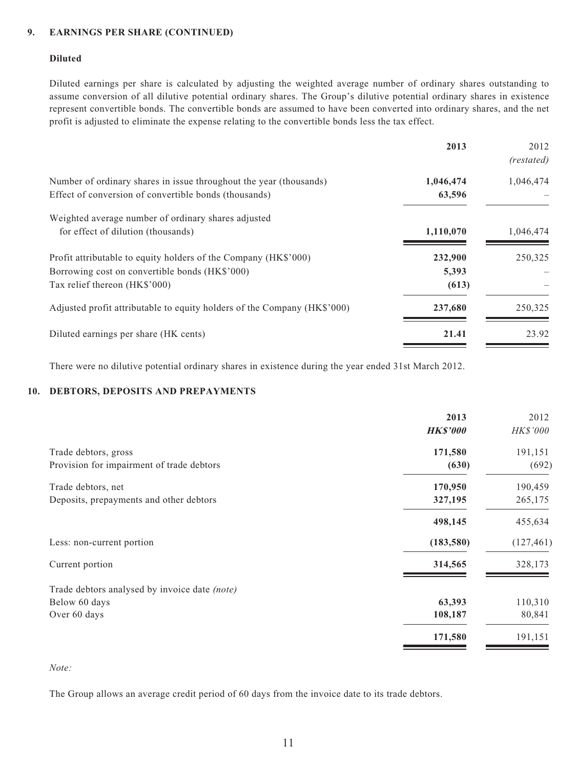#### **9. EARNINGS PER SHARE (CONTINUED)**

#### **Diluted**

Diluted earnings per share is calculated by adjusting the weighted average number of ordinary shares outstanding to assume conversion of all dilutive potential ordinary shares. The Group's dilutive potential ordinary shares in existence represent convertible bonds. The convertible bonds are assumed to have been converted into ordinary shares, and the net profit is adjusted to eliminate the expense relating to the convertible bonds less the tax effect.

|                                                                          | 2013      | 2012       |
|--------------------------------------------------------------------------|-----------|------------|
|                                                                          |           | (restated) |
| Number of ordinary shares in issue throughout the year (thousands)       | 1,046,474 | 1,046,474  |
| Effect of conversion of convertible bonds (thousands)                    | 63,596    |            |
| Weighted average number of ordinary shares adjusted                      |           |            |
| for effect of dilution (thousands)                                       | 1,110,070 | 1,046,474  |
| Profit attributable to equity holders of the Company (HK\$'000)          | 232,900   | 250,325    |
| Borrowing cost on convertible bonds (HK\$'000)                           | 5,393     |            |
| Tax relief thereon (HK\$'000)                                            | (613)     |            |
| Adjusted profit attributable to equity holders of the Company (HK\$'000) | 237,680   | 250,325    |
| Diluted earnings per share (HK cents)                                    | 21.41     | 23.92      |

There were no dilutive potential ordinary shares in existence during the year ended 31st March 2012.

#### **10. DEBTORS, DEPOSITS AND PREPAYMENTS**

|                                               | 2013            | 2012       |
|-----------------------------------------------|-----------------|------------|
|                                               | <b>HK\$'000</b> | HK\$'000   |
| Trade debtors, gross                          | 171,580         | 191,151    |
| Provision for impairment of trade debtors     | (630)           | (692)      |
| Trade debtors, net                            | 170,950         | 190,459    |
| Deposits, prepayments and other debtors       | 327,195         | 265,175    |
|                                               | 498,145         | 455,634    |
| Less: non-current portion                     | (183, 580)      | (127, 461) |
| Current portion                               | 314,565         | 328,173    |
| Trade debtors analysed by invoice date (note) |                 |            |
| Below 60 days                                 | 63,393          | 110,310    |
| Over 60 days                                  | 108,187         | 80,841     |
|                                               | 171,580         | 191,151    |
|                                               |                 |            |

*Note:*

The Group allows an average credit period of 60 days from the invoice date to its trade debtors.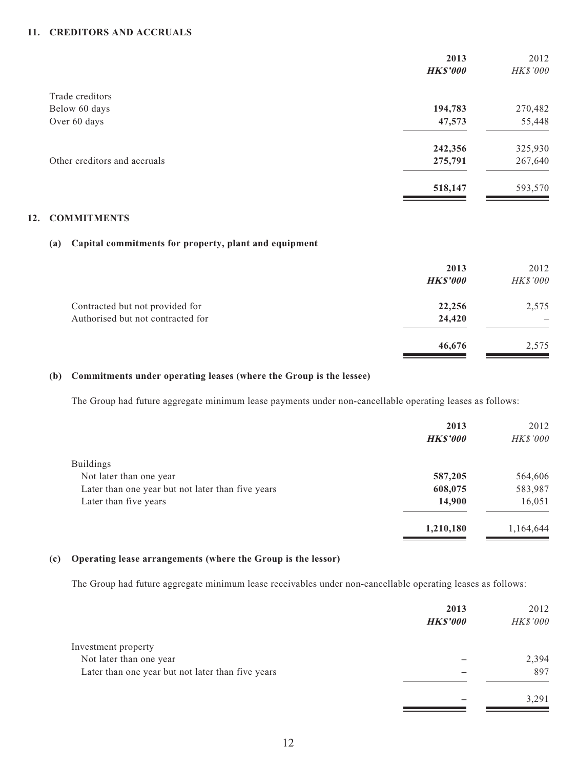#### **11. CREDITORS AND ACCRUALS**

|                              | 2013<br><b>HK\$'000</b> | 2012<br>HK\$'000 |
|------------------------------|-------------------------|------------------|
| Trade creditors              |                         |                  |
| Below 60 days                | 194,783                 | 270,482          |
| Over 60 days                 | 47,573                  | 55,448           |
|                              | 242,356                 | 325,930          |
| Other creditors and accruals | 275,791                 | 267,640          |
|                              | 518,147                 | 593,570          |

#### **12. COMMITMENTS**

#### **(a) Capital commitments for property, plant and equipment**

|                                                                      | 2013<br><b>HK\$'000</b> | 2012<br>HK\$'000                  |
|----------------------------------------------------------------------|-------------------------|-----------------------------------|
| Contracted but not provided for<br>Authorised but not contracted for | 22,256<br>24,420        | 2,575<br>$\overline{\phantom{0}}$ |
|                                                                      | 46,676                  | 2,575                             |

#### **(b) Commitments under operating leases (where the Group is the lessee)**

The Group had future aggregate minimum lease payments under non-cancellable operating leases as follows:

|                                                   | 2013            | 2012      |
|---------------------------------------------------|-----------------|-----------|
|                                                   | <b>HK\$'000</b> | HK\$'000  |
| <b>Buildings</b>                                  |                 |           |
| Not later than one year                           | 587,205         | 564,606   |
| Later than one year but not later than five years | 608,075         | 583,987   |
| Later than five years                             | 14,900          | 16,051    |
|                                                   | 1,210,180       | 1,164,644 |

#### **(c) Operating lease arrangements (where the Group is the lessor)**

The Group had future aggregate minimum lease receivables under non-cancellable operating leases as follows:

|                                                   | 2013            | 2012     |
|---------------------------------------------------|-----------------|----------|
|                                                   | <b>HK\$'000</b> | HK\$'000 |
| Investment property                               |                 |          |
| Not later than one year                           |                 | 2,394    |
| Later than one year but not later than five years |                 | 897      |
|                                                   |                 | 3.291    |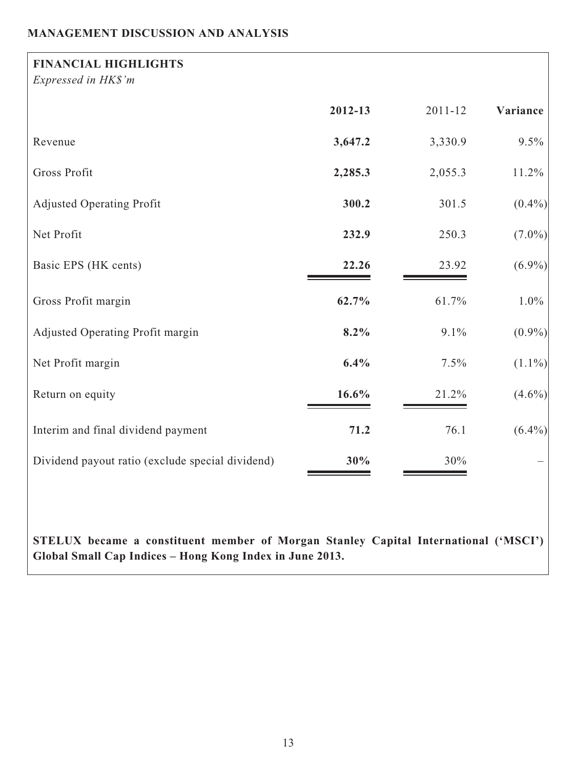# **MANAGEMENT DISCUSSION AND ANALYSIS**

| <b>FINANCIAL HIGHLIGHTS</b><br>Expressed in HK\$'m |          |             |           |
|----------------------------------------------------|----------|-------------|-----------|
|                                                    | 2012-13  | $2011 - 12$ | Variance  |
| Revenue                                            | 3,647.2  | 3,330.9     | 9.5%      |
| Gross Profit                                       | 2,285.3  | 2,055.3     | 11.2%     |
| <b>Adjusted Operating Profit</b>                   | 300.2    | 301.5       | $(0.4\%)$ |
| Net Profit                                         | 232.9    | 250.3       | $(7.0\%)$ |
| Basic EPS (HK cents)                               | 22.26    | 23.92       | $(6.9\%)$ |
| Gross Profit margin                                | 62.7%    | 61.7%       | $1.0\%$   |
| Adjusted Operating Profit margin                   | $8.2\%$  | 9.1%        | $(0.9\%)$ |
| Net Profit margin                                  | 6.4%     | 7.5%        | $(1.1\%)$ |
| Return on equity                                   | $16.6\%$ | 21.2%       | $(4.6\%)$ |
| Interim and final dividend payment                 | 71.2     | 76.1        | $(6.4\%)$ |
| Dividend payout ratio (exclude special dividend)   | 30%      | 30%         |           |

**STELUX became a constituent member of Morgan Stanley Capital International ('MSCI') Global Small Cap Indices – Hong Kong Index in June 2013.**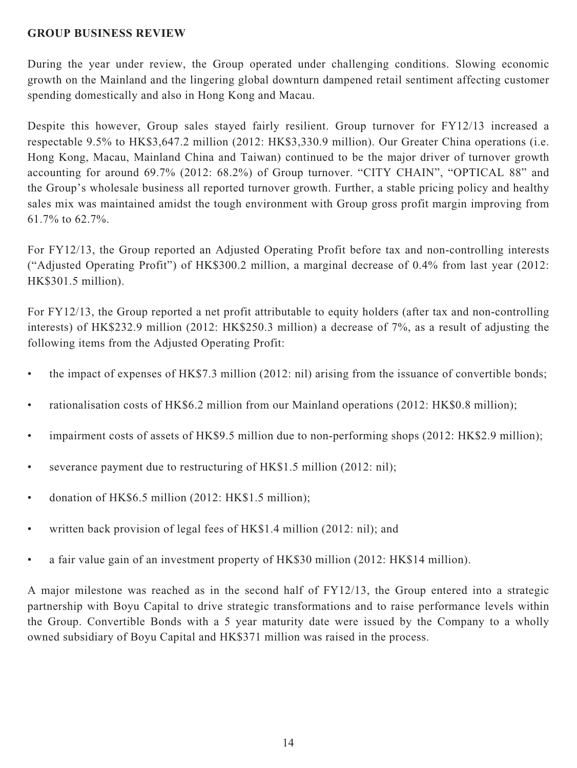### **GROUP BUSINESS REVIEW**

During the year under review, the Group operated under challenging conditions. Slowing economic growth on the Mainland and the lingering global downturn dampened retail sentiment affecting customer spending domestically and also in Hong Kong and Macau.

Despite this however, Group sales stayed fairly resilient. Group turnover for FY12/13 increased a respectable 9.5% to HK\$3,647.2 million (2012: HK\$3,330.9 million). Our Greater China operations (i.e. Hong Kong, Macau, Mainland China and Taiwan) continued to be the major driver of turnover growth accounting for around 69.7% (2012: 68.2%) of Group turnover. "CITY CHAIN", "OPTICAL 88" and the Group's wholesale business all reported turnover growth. Further, a stable pricing policy and healthy sales mix was maintained amidst the tough environment with Group gross profit margin improving from 61.7% to 62.7%.

For FY12/13, the Group reported an Adjusted Operating Profit before tax and non-controlling interests ("Adjusted Operating Profit") of HK\$300.2 million, a marginal decrease of 0.4% from last year (2012: HK\$301.5 million).

For FY12/13, the Group reported a net profit attributable to equity holders (after tax and non-controlling interests) of HK\$232.9 million (2012: HK\$250.3 million) a decrease of 7%, as a result of adjusting the following items from the Adjusted Operating Profit:

- the impact of expenses of HK\$7.3 million (2012: nil) arising from the issuance of convertible bonds;
- rationalisation costs of HK\$6.2 million from our Mainland operations (2012: HK\$0.8 million);
- impairment costs of assets of HK\$9.5 million due to non-performing shops (2012: HK\$2.9 million);
- severance payment due to restructuring of HK\$1.5 million (2012: nil);
- donation of HK\$6.5 million (2012: HK\$1.5 million);
- written back provision of legal fees of HK\$1.4 million (2012: nil); and
- a fair value gain of an investment property of HK\$30 million (2012: HK\$14 million).

A major milestone was reached as in the second half of FY12/13, the Group entered into a strategic partnership with Boyu Capital to drive strategic transformations and to raise performance levels within the Group. Convertible Bonds with a 5 year maturity date were issued by the Company to a wholly owned subsidiary of Boyu Capital and HK\$371 million was raised in the process.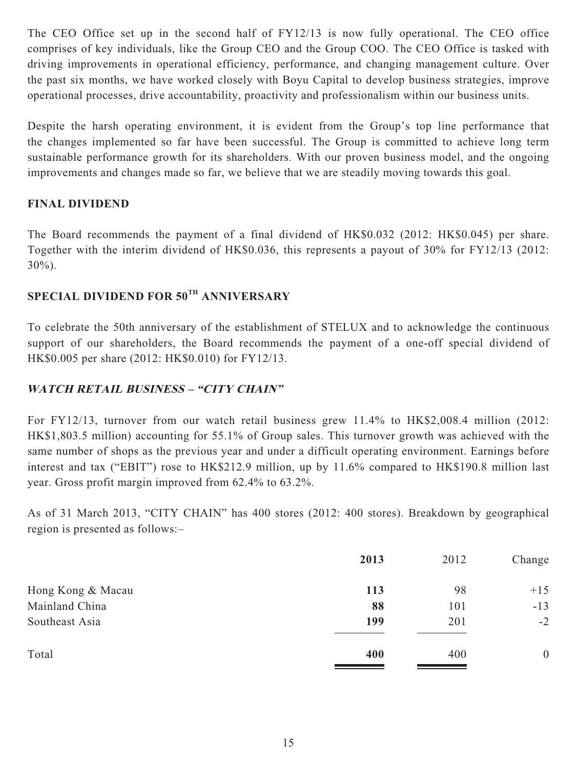The CEO Office set up in the second half of FY12/13 is now fully operational. The CEO office comprises of key individuals, like the Group CEO and the Group COO. The CEO Office is tasked with driving improvements in operational efficiency, performance, and changing management culture. Over the past six months, we have worked closely with Boyu Capital to develop business strategies, improve operational processes, drive accountability, proactivity and professionalism within our business units.

Despite the harsh operating environment, it is evident from the Group's top line performance that the changes implemented so far have been successful. The Group is committed to achieve long term sustainable performance growth for its shareholders. With our proven business model, and the ongoing improvements and changes made so far, we believe that we are steadily moving towards this goal.

## **FINAL DIVIDEND**

The Board recommends the payment of a final dividend of HK\$0.032 (2012: HK\$0.045) per share. Together with the interim dividend of HK\$0.036, this represents a payout of 30% for FY12/13 (2012: 30%).

# **SPECIAL DIVIDEND FOR 50TH ANNIVERSARY**

To celebrate the 50th anniversary of the establishment of STELUX and to acknowledge the continuous support of our shareholders, the Board recommends the payment of a one-off special dividend of HK\$0.005 per share (2012: HK\$0.010) for FY12/13.

## **WATCH RETAIL BUSINESS – "CITY CHAIN"**

For FY12/13, turnover from our watch retail business grew 11.4% to HK\$2,008.4 million (2012: HK\$1,803.5 million) accounting for 55.1% of Group sales. This turnover growth was achieved with the same number of shops as the previous year and under a difficult operating environment. Earnings before interest and tax ("EBIT") rose to HK\$212.9 million, up by 11.6% compared to HK\$190.8 million last year. Gross profit margin improved from 62.4% to 63.2%.

As of 31 March 2013, "CITY CHAIN" has 400 stores (2012: 400 stores). Breakdown by geographical region is presented as follows:–

|                   | 2013 | 2012 | Change           |
|-------------------|------|------|------------------|
| Hong Kong & Macau | 113  | 98   | $+15$            |
| Mainland China    | 88   | 101  | $-13$            |
| Southeast Asia    | 199  | 201  | $-2$             |
| Total             | 400  | 400  | $\boldsymbol{0}$ |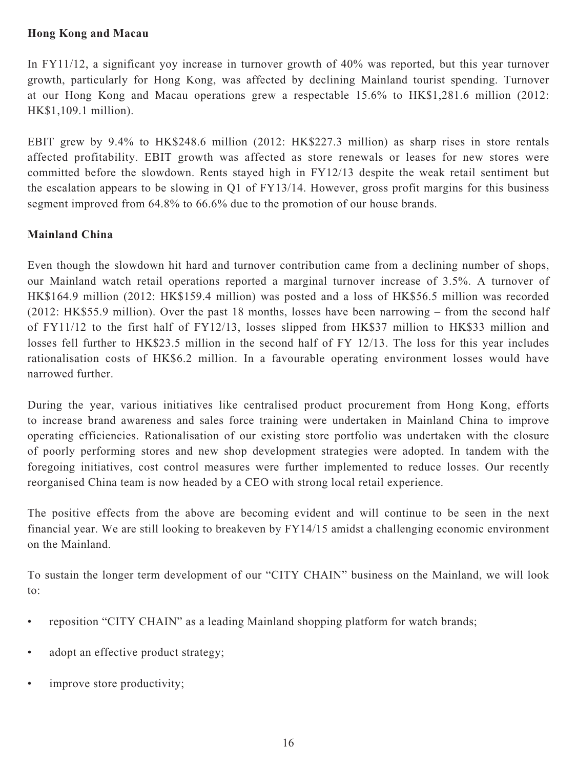## **Hong Kong and Macau**

In FY11/12, a significant yoy increase in turnover growth of 40% was reported, but this year turnover growth, particularly for Hong Kong, was affected by declining Mainland tourist spending. Turnover at our Hong Kong and Macau operations grew a respectable 15.6% to HK\$1,281.6 million (2012: HK\$1,109.1 million).

EBIT grew by 9.4% to HK\$248.6 million (2012: HK\$227.3 million) as sharp rises in store rentals affected profitability. EBIT growth was affected as store renewals or leases for new stores were committed before the slowdown. Rents stayed high in FY12/13 despite the weak retail sentiment but the escalation appears to be slowing in Q1 of FY13/14. However, gross profit margins for this business segment improved from 64.8% to 66.6% due to the promotion of our house brands.

# **Mainland China**

Even though the slowdown hit hard and turnover contribution came from a declining number of shops, our Mainland watch retail operations reported a marginal turnover increase of 3.5%. A turnover of HK\$164.9 million (2012: HK\$159.4 million) was posted and a loss of HK\$56.5 million was recorded (2012: HK\$55.9 million). Over the past 18 months, losses have been narrowing – from the second half of FY11/12 to the first half of FY12/13, losses slipped from HK\$37 million to HK\$33 million and losses fell further to HK\$23.5 million in the second half of FY 12/13. The loss for this year includes rationalisation costs of HK\$6.2 million. In a favourable operating environment losses would have narrowed further.

During the year, various initiatives like centralised product procurement from Hong Kong, efforts to increase brand awareness and sales force training were undertaken in Mainland China to improve operating efficiencies. Rationalisation of our existing store portfolio was undertaken with the closure of poorly performing stores and new shop development strategies were adopted. In tandem with the foregoing initiatives, cost control measures were further implemented to reduce losses. Our recently reorganised China team is now headed by a CEO with strong local retail experience.

The positive effects from the above are becoming evident and will continue to be seen in the next financial year. We are still looking to breakeven by FY14/15 amidst a challenging economic environment on the Mainland.

To sustain the longer term development of our "CITY CHAIN" business on the Mainland, we will look to:

- reposition "CITY CHAIN" as a leading Mainland shopping platform for watch brands;
- adopt an effective product strategy;
- improve store productivity;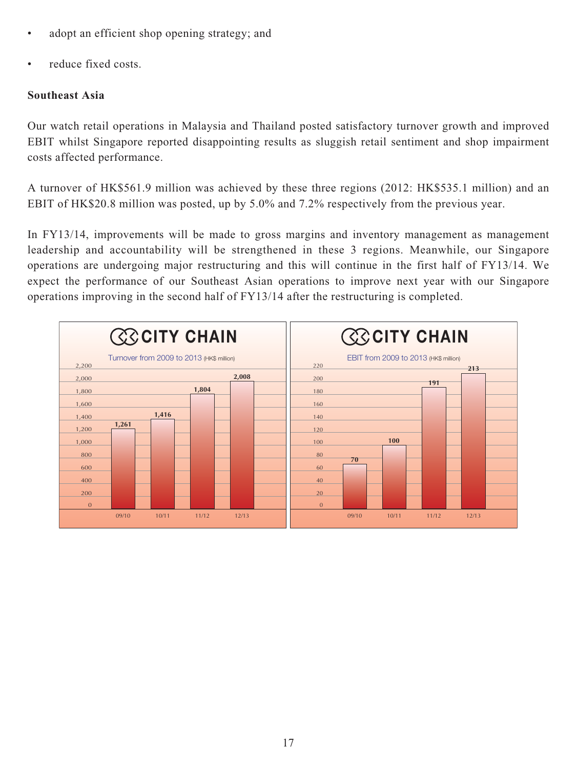- adopt an efficient shop opening strategy; and
- reduce fixed costs.

## **Southeast Asia**

Our watch retail operations in Malaysia and Thailand posted satisfactory turnover growth and improved EBIT whilst Singapore reported disappointing results as sluggish retail sentiment and shop impairment costs affected performance.

A turnover of HK\$561.9 million was achieved by these three regions (2012: HK\$535.1 million) and an EBIT of HK\$20.8 million was posted, up by 5.0% and 7.2% respectively from the previous year.

In FY13/14, improvements will be made to gross margins and inventory management as management leadership and accountability will be strengthened in these 3 regions. Meanwhile, our Singapore operations are undergoing major restructuring and this will continue in the first half of FY13/14. We expect the performance of our Southeast Asian operations to improve next year with our Singapore operations improving in the second half of FY13/14 after the restructuring is completed.

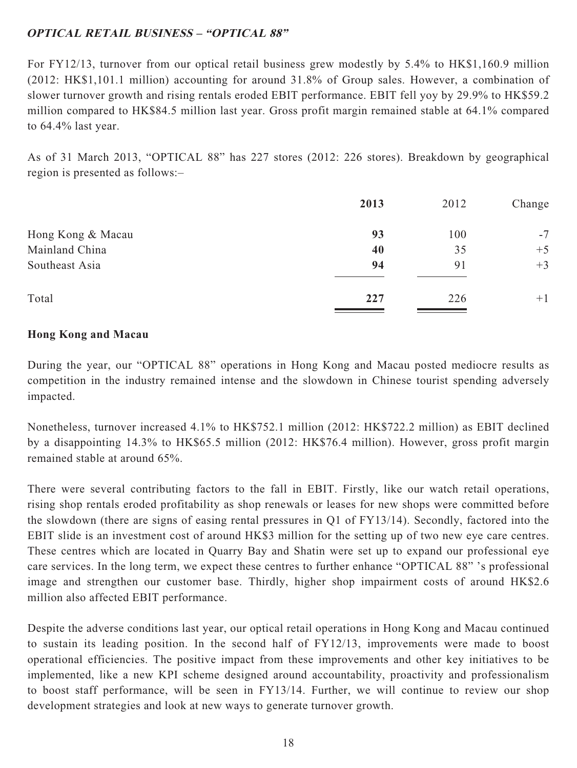# **OPTICAL RETAIL BUSINESS – "OPTICAL 88"**

For FY12/13, turnover from our optical retail business grew modestly by 5.4% to HK\$1,160.9 million (2012: HK\$1,101.1 million) accounting for around 31.8% of Group sales. However, a combination of slower turnover growth and rising rentals eroded EBIT performance. EBIT fell yoy by 29.9% to HK\$59.2 million compared to HK\$84.5 million last year. Gross profit margin remained stable at 64.1% compared to 64.4% last year.

As of 31 March 2013, "OPTICAL 88" has 227 stores (2012: 226 stores). Breakdown by geographical region is presented as follows:–

|                   | 2013 | 2012 | Change |
|-------------------|------|------|--------|
| Hong Kong & Macau | 93   | 100  | $-7$   |
| Mainland China    | 40   | 35   | $+5$   |
| Southeast Asia    | 94   | 91   | $+3$   |
| Total             | 227  | 226  | $+1$   |
|                   |      |      |        |

## **Hong Kong and Macau**

During the year, our "OPTICAL 88" operations in Hong Kong and Macau posted mediocre results as competition in the industry remained intense and the slowdown in Chinese tourist spending adversely impacted.

Nonetheless, turnover increased 4.1% to HK\$752.1 million (2012: HK\$722.2 million) as EBIT declined by a disappointing 14.3% to HK\$65.5 million (2012: HK\$76.4 million). However, gross profit margin remained stable at around 65%.

There were several contributing factors to the fall in EBIT. Firstly, like our watch retail operations, rising shop rentals eroded profitability as shop renewals or leases for new shops were committed before the slowdown (there are signs of easing rental pressures in Q1 of FY13/14). Secondly, factored into the EBIT slide is an investment cost of around HK\$3 million for the setting up of two new eye care centres. These centres which are located in Quarry Bay and Shatin were set up to expand our professional eye care services. In the long term, we expect these centres to further enhance "OPTICAL 88" 's professional image and strengthen our customer base. Thirdly, higher shop impairment costs of around HK\$2.6 million also affected EBIT performance.

Despite the adverse conditions last year, our optical retail operations in Hong Kong and Macau continued to sustain its leading position. In the second half of FY12/13, improvements were made to boost operational efficiencies. The positive impact from these improvements and other key initiatives to be implemented, like a new KPI scheme designed around accountability, proactivity and professionalism to boost staff performance, will be seen in FY13/14. Further, we will continue to review our shop development strategies and look at new ways to generate turnover growth.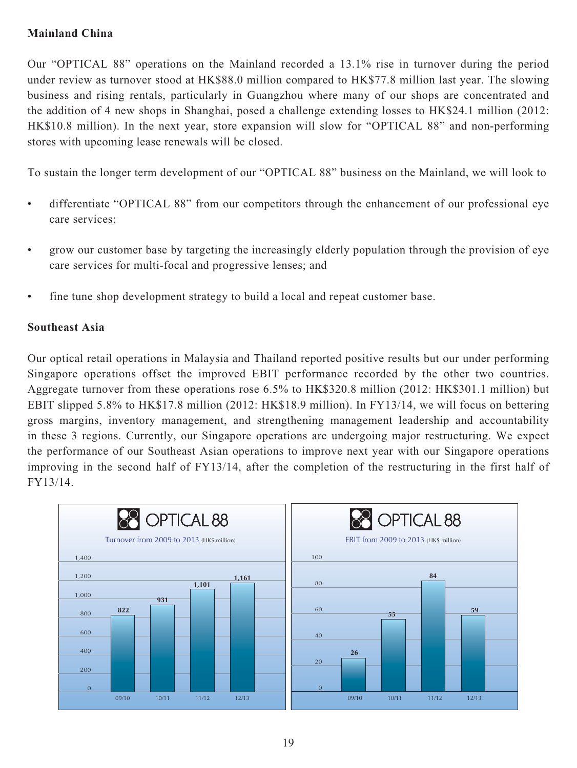# **Mainland China**

Our "OPTICAL 88" operations on the Mainland recorded a 13.1% rise in turnover during the period under review as turnover stood at HK\$88.0 million compared to HK\$77.8 million last year. The slowing business and rising rentals, particularly in Guangzhou where many of our shops are concentrated and the addition of 4 new shops in Shanghai, posed a challenge extending losses to HK\$24.1 million (2012: HK\$10.8 million). In the next year, store expansion will slow for "OPTICAL 88" and non-performing stores with upcoming lease renewals will be closed.

To sustain the longer term development of our "OPTICAL 88" business on the Mainland, we will look to

- differentiate "OPTICAL 88" from our competitors through the enhancement of our professional eye care services;
- grow our customer base by targeting the increasingly elderly population through the provision of eye care services for multi-focal and progressive lenses; and
- fine tune shop development strategy to build a local and repeat customer base.

## **Southeast Asia**

Our optical retail operations in Malaysia and Thailand reported positive results but our under performing Singapore operations offset the improved EBIT performance recorded by the other two countries. Aggregate turnover from these operations rose 6.5% to HK\$320.8 million (2012: HK\$301.1 million) but EBIT slipped 5.8% to HK\$17.8 million (2012: HK\$18.9 million). In FY13/14, we will focus on bettering gross margins, inventory management, and strengthening management leadership and accountability in these 3 regions. Currently, our Singapore operations are undergoing major restructuring. We expect the performance of our Southeast Asian operations to improve next year with our Singapore operations improving in the second half of FY13/14, after the completion of the restructuring in the first half of FY13/14.

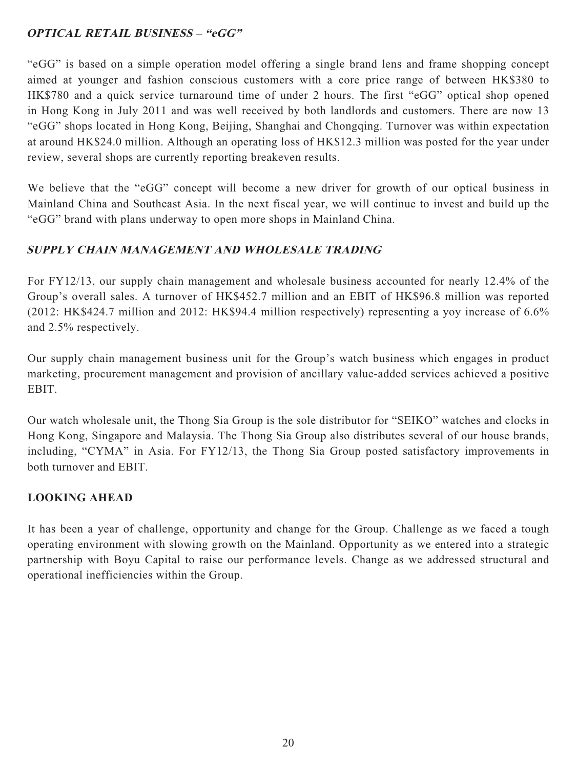# **OPTICAL RETAIL BUSINESS – "eGG"**

"eGG" is based on a simple operation model offering a single brand lens and frame shopping concept aimed at younger and fashion conscious customers with a core price range of between HK\$380 to HK\$780 and a quick service turnaround time of under 2 hours. The first "eGG" optical shop opened in Hong Kong in July 2011 and was well received by both landlords and customers. There are now 13 "eGG" shops located in Hong Kong, Beijing, Shanghai and Chongqing. Turnover was within expectation at around HK\$24.0 million. Although an operating loss of HK\$12.3 million was posted for the year under review, several shops are currently reporting breakeven results.

We believe that the "eGG" concept will become a new driver for growth of our optical business in Mainland China and Southeast Asia. In the next fiscal year, we will continue to invest and build up the "eGG" brand with plans underway to open more shops in Mainland China.

# **SUPPLY CHAIN MANAGEMENT AND WHOLESALE TRADING**

For FY12/13, our supply chain management and wholesale business accounted for nearly 12.4% of the Group's overall sales. A turnover of HK\$452.7 million and an EBIT of HK\$96.8 million was reported (2012: HK\$424.7 million and 2012: HK\$94.4 million respectively) representing a yoy increase of 6.6% and 2.5% respectively.

Our supply chain management business unit for the Group's watch business which engages in product marketing, procurement management and provision of ancillary value-added services achieved a positive **EBIT.** 

Our watch wholesale unit, the Thong Sia Group is the sole distributor for "SEIKO" watches and clocks in Hong Kong, Singapore and Malaysia. The Thong Sia Group also distributes several of our house brands, including, "CYMA" in Asia. For FY12/13, the Thong Sia Group posted satisfactory improvements in both turnover and EBIT.

# **LOOKING AHEAD**

It has been a year of challenge, opportunity and change for the Group. Challenge as we faced a tough operating environment with slowing growth on the Mainland. Opportunity as we entered into a strategic partnership with Boyu Capital to raise our performance levels. Change as we addressed structural and operational inefficiencies within the Group.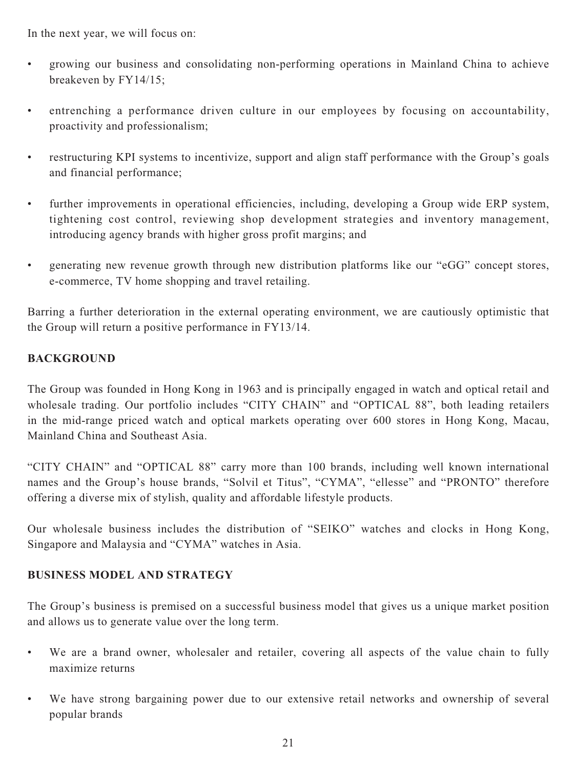In the next year, we will focus on:

- growing our business and consolidating non-performing operations in Mainland China to achieve breakeven by FY14/15;
- entrenching a performance driven culture in our employees by focusing on accountability, proactivity and professionalism;
- restructuring KPI systems to incentivize, support and align staff performance with the Group's goals and financial performance;
- further improvements in operational efficiencies, including, developing a Group wide ERP system, tightening cost control, reviewing shop development strategies and inventory management, introducing agency brands with higher gross profit margins; and
- generating new revenue growth through new distribution platforms like our "eGG" concept stores, e-commerce, TV home shopping and travel retailing.

Barring a further deterioration in the external operating environment, we are cautiously optimistic that the Group will return a positive performance in FY13/14.

# **BACKGROUND**

The Group was founded in Hong Kong in 1963 and is principally engaged in watch and optical retail and wholesale trading. Our portfolio includes "CITY CHAIN" and "OPTICAL 88", both leading retailers in the mid-range priced watch and optical markets operating over 600 stores in Hong Kong, Macau, Mainland China and Southeast Asia.

"CITY CHAIN" and "OPTICAL 88" carry more than 100 brands, including well known international names and the Group's house brands, "Solvil et Titus", "CYMA", "ellesse" and "PRONTO" therefore offering a diverse mix of stylish, quality and affordable lifestyle products.

Our wholesale business includes the distribution of "SEIKO" watches and clocks in Hong Kong, Singapore and Malaysia and "CYMA" watches in Asia.

# **BUSINESS MODEL AND STRATEGY**

The Group's business is premised on a successful business model that gives us a unique market position and allows us to generate value over the long term.

- We are a brand owner, wholesaler and retailer, covering all aspects of the value chain to fully maximize returns
- We have strong bargaining power due to our extensive retail networks and ownership of several popular brands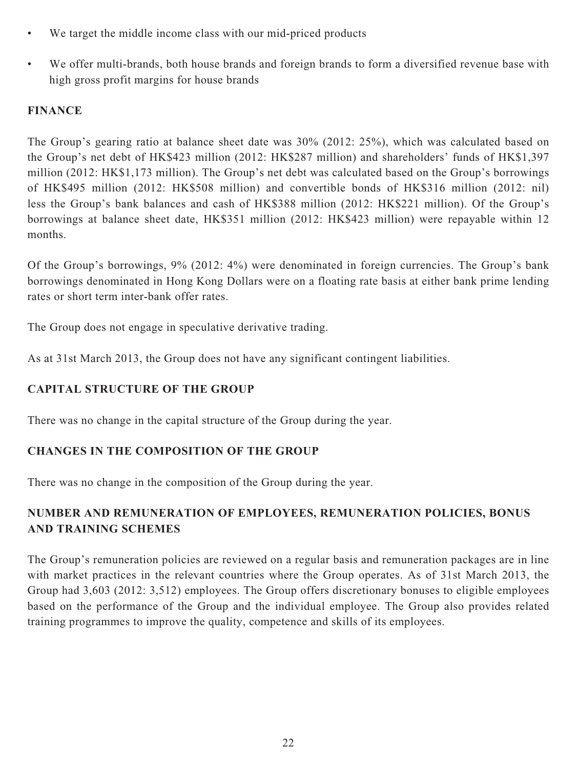- We target the middle income class with our mid-priced products
- We offer multi-brands, both house brands and foreign brands to form a diversified revenue base with high gross profit margins for house brands

# **FINANCE**

The Group's gearing ratio at balance sheet date was 30% (2012: 25%), which was calculated based on the Group's net debt of HK\$423 million (2012: HK\$287 million) and shareholders' funds of HK\$1,397 million (2012: HK\$1,173 million). The Group's net debt was calculated based on the Group's borrowings of HK\$495 million (2012: HK\$508 million) and convertible bonds of HK\$316 million (2012: nil) less the Group's bank balances and cash of HK\$388 million (2012: HK\$221 million). Of the Group's borrowings at balance sheet date, HK\$351 million (2012: HK\$423 million) were repayable within 12 months.

Of the Group's borrowings, 9% (2012: 4%) were denominated in foreign currencies. The Group's bank borrowings denominated in Hong Kong Dollars were on a floating rate basis at either bank prime lending rates or short term inter-bank offer rates.

The Group does not engage in speculative derivative trading.

As at 31st March 2013, the Group does not have any significant contingent liabilities.

# **CAPITAL STRUCTURE OF THE GROUP**

There was no change in the capital structure of the Group during the year.

# **CHANGES IN THE COMPOSITION OF THE GROUP**

There was no change in the composition of the Group during the year.

# **NUMBER AND REMUNERATION OF EMPLOYEES, REMUNERATION POLICIES, BONUS AND TRAINING SCHEMES**

The Group's remuneration policies are reviewed on a regular basis and remuneration packages are in line with market practices in the relevant countries where the Group operates. As of 31st March 2013, the Group had 3,603 (2012: 3,512) employees. The Group offers discretionary bonuses to eligible employees based on the performance of the Group and the individual employee. The Group also provides related training programmes to improve the quality, competence and skills of its employees.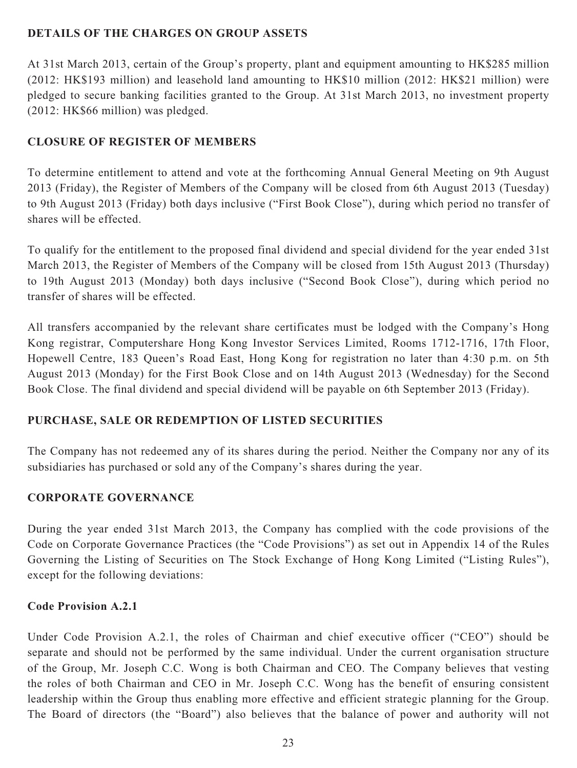## **DETAILS OF THE CHARGES ON GROUP ASSETS**

At 31st March 2013, certain of the Group's property, plant and equipment amounting to HK\$285 million (2012: HK\$193 million) and leasehold land amounting to HK\$10 million (2012: HK\$21 million) were pledged to secure banking facilities granted to the Group. At 31st March 2013, no investment property (2012: HK\$66 million) was pledged.

# **CLOSURE OF REGISTER OF MEMBERS**

To determine entitlement to attend and vote at the forthcoming Annual General Meeting on 9th August 2013 (Friday), the Register of Members of the Company will be closed from 6th August 2013 (Tuesday) to 9th August 2013 (Friday) both days inclusive ("First Book Close"), during which period no transfer of shares will be effected.

To qualify for the entitlement to the proposed final dividend and special dividend for the year ended 31st March 2013, the Register of Members of the Company will be closed from 15th August 2013 (Thursday) to 19th August 2013 (Monday) both days inclusive ("Second Book Close"), during which period no transfer of shares will be effected.

All transfers accompanied by the relevant share certificates must be lodged with the Company's Hong Kong registrar, Computershare Hong Kong Investor Services Limited, Rooms 1712-1716, 17th Floor, Hopewell Centre, 183 Queen's Road East, Hong Kong for registration no later than 4:30 p.m. on 5th August 2013 (Monday) for the First Book Close and on 14th August 2013 (Wednesday) for the Second Book Close. The final dividend and special dividend will be payable on 6th September 2013 (Friday).

# **PURCHASE, SALE OR REDEMPTION OF LISTED SECURITIES**

The Company has not redeemed any of its shares during the period. Neither the Company nor any of its subsidiaries has purchased or sold any of the Company's shares during the year.

# **CORPORATE GOVERNANCE**

During the year ended 31st March 2013, the Company has complied with the code provisions of the Code on Corporate Governance Practices (the "Code Provisions") as set out in Appendix 14 of the Rules Governing the Listing of Securities on The Stock Exchange of Hong Kong Limited ("Listing Rules"), except for the following deviations:

## **Code Provision A.2.1**

Under Code Provision A.2.1, the roles of Chairman and chief executive officer ("CEO") should be separate and should not be performed by the same individual. Under the current organisation structure of the Group, Mr. Joseph C.C. Wong is both Chairman and CEO. The Company believes that vesting the roles of both Chairman and CEO in Mr. Joseph C.C. Wong has the benefit of ensuring consistent leadership within the Group thus enabling more effective and efficient strategic planning for the Group. The Board of directors (the "Board") also believes that the balance of power and authority will not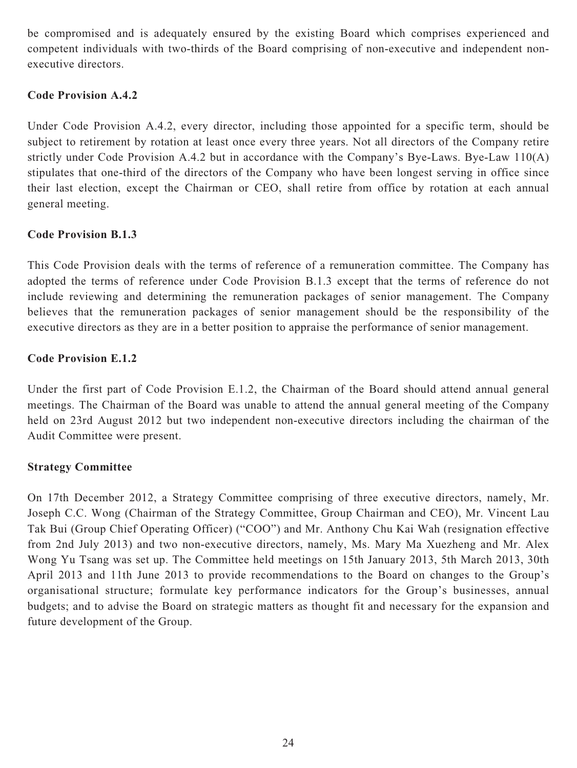be compromised and is adequately ensured by the existing Board which comprises experienced and competent individuals with two-thirds of the Board comprising of non-executive and independent nonexecutive directors.

## **Code Provision A.4.2**

Under Code Provision A.4.2, every director, including those appointed for a specific term, should be subject to retirement by rotation at least once every three years. Not all directors of the Company retire strictly under Code Provision A.4.2 but in accordance with the Company's Bye-Laws. Bye-Law 110(A) stipulates that one-third of the directors of the Company who have been longest serving in office since their last election, except the Chairman or CEO, shall retire from office by rotation at each annual general meeting.

## **Code Provision B.1.3**

This Code Provision deals with the terms of reference of a remuneration committee. The Company has adopted the terms of reference under Code Provision B.1.3 except that the terms of reference do not include reviewing and determining the remuneration packages of senior management. The Company believes that the remuneration packages of senior management should be the responsibility of the executive directors as they are in a better position to appraise the performance of senior management.

## **Code Provision E.1.2**

Under the first part of Code Provision E.1.2, the Chairman of the Board should attend annual general meetings. The Chairman of the Board was unable to attend the annual general meeting of the Company held on 23rd August 2012 but two independent non-executive directors including the chairman of the Audit Committee were present.

## **Strategy Committee**

On 17th December 2012, a Strategy Committee comprising of three executive directors, namely, Mr. Joseph C.C. Wong (Chairman of the Strategy Committee, Group Chairman and CEO), Mr. Vincent Lau Tak Bui (Group Chief Operating Officer) ("COO") and Mr. Anthony Chu Kai Wah (resignation effective from 2nd July 2013) and two non-executive directors, namely, Ms. Mary Ma Xuezheng and Mr. Alex Wong Yu Tsang was set up. The Committee held meetings on 15th January 2013, 5th March 2013, 30th April 2013 and 11th June 2013 to provide recommendations to the Board on changes to the Group's organisational structure; formulate key performance indicators for the Group's businesses, annual budgets; and to advise the Board on strategic matters as thought fit and necessary for the expansion and future development of the Group.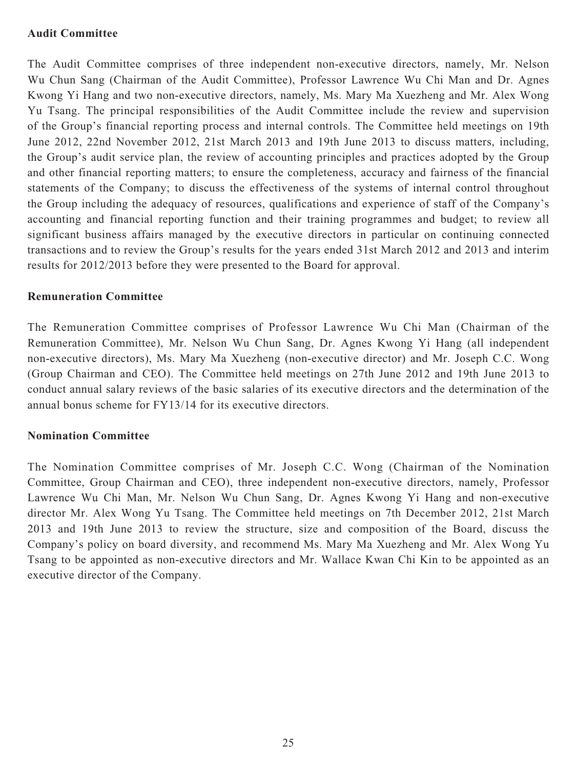### **Audit Committee**

The Audit Committee comprises of three independent non-executive directors, namely, Mr. Nelson Wu Chun Sang (Chairman of the Audit Committee), Professor Lawrence Wu Chi Man and Dr. Agnes Kwong Yi Hang and two non-executive directors, namely, Ms. Mary Ma Xuezheng and Mr. Alex Wong Yu Tsang. The principal responsibilities of the Audit Committee include the review and supervision of the Group's financial reporting process and internal controls. The Committee held meetings on 19th June 2012, 22nd November 2012, 21st March 2013 and 19th June 2013 to discuss matters, including, the Group's audit service plan, the review of accounting principles and practices adopted by the Group and other financial reporting matters; to ensure the completeness, accuracy and fairness of the financial statements of the Company; to discuss the effectiveness of the systems of internal control throughout the Group including the adequacy of resources, qualifications and experience of staff of the Company's accounting and financial reporting function and their training programmes and budget; to review all significant business affairs managed by the executive directors in particular on continuing connected transactions and to review the Group's results for the years ended 31st March 2012 and 2013 and interim results for 2012/2013 before they were presented to the Board for approval.

#### **Remuneration Committee**

The Remuneration Committee comprises of Professor Lawrence Wu Chi Man (Chairman of the Remuneration Committee), Mr. Nelson Wu Chun Sang, Dr. Agnes Kwong Yi Hang (all independent non-executive directors), Ms. Mary Ma Xuezheng (non-executive director) and Mr. Joseph C.C. Wong (Group Chairman and CEO). The Committee held meetings on 27th June 2012 and 19th June 2013 to conduct annual salary reviews of the basic salaries of its executive directors and the determination of the annual bonus scheme for FY13/14 for its executive directors.

#### **Nomination Committee**

The Nomination Committee comprises of Mr. Joseph C.C. Wong (Chairman of the Nomination Committee, Group Chairman and CEO), three independent non-executive directors, namely, Professor Lawrence Wu Chi Man, Mr. Nelson Wu Chun Sang, Dr. Agnes Kwong Yi Hang and non-executive director Mr. Alex Wong Yu Tsang. The Committee held meetings on 7th December 2012, 21st March 2013 and 19th June 2013 to review the structure, size and composition of the Board, discuss the Company's policy on board diversity, and recommend Ms. Mary Ma Xuezheng and Mr. Alex Wong Yu Tsang to be appointed as non-executive directors and Mr. Wallace Kwan Chi Kin to be appointed as an executive director of the Company.